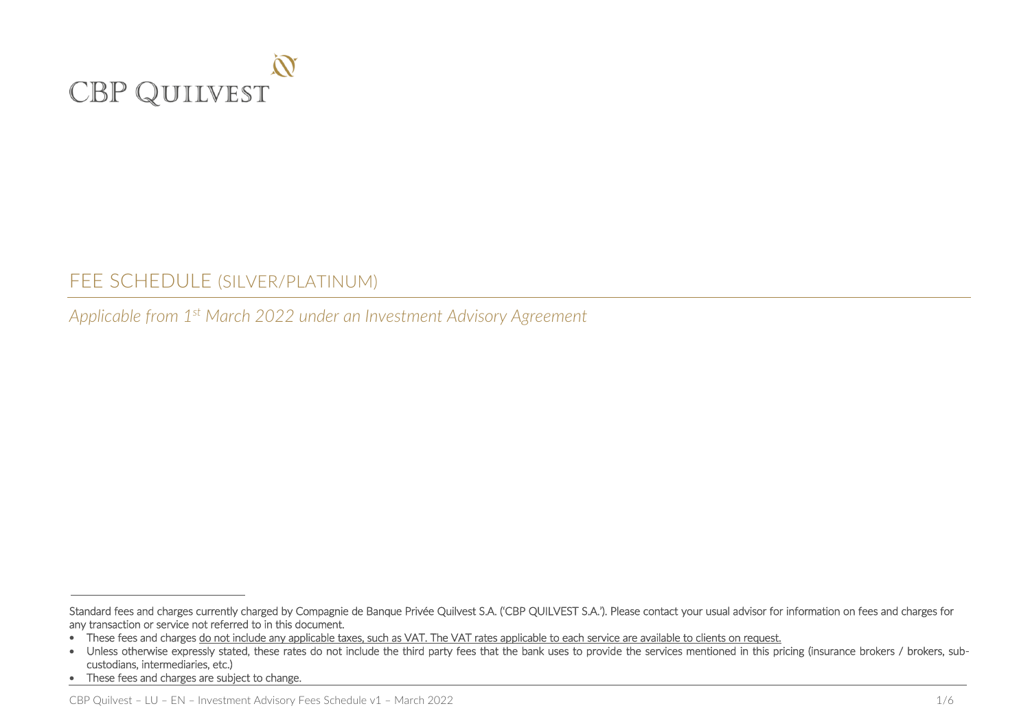

# FEE SCHEDULE (SILVER/PLATINUM)

*Applicable from 1 st March 2022 under an Investment Advisory Agreement*

Standard fees and charges currently charged by Compagnie de Banque Privée Quilvest S.A. ('CBP QUILVEST S.A.'). Please contact your usual advisor for information on fees and charges for any transaction or service not referred to in this document.

These fees and charges do not include any applicable taxes, such as VAT. The VAT rates applicable to each service are available to clients on request.

<sup>•</sup> Unless otherwise expressly stated, these rates do not include the third party fees that the bank uses to provide the services mentioned in this pricing (insurance brokers / brokers, subcustodians, intermediaries, etc.)

<sup>•</sup> These fees and charges are subject to change.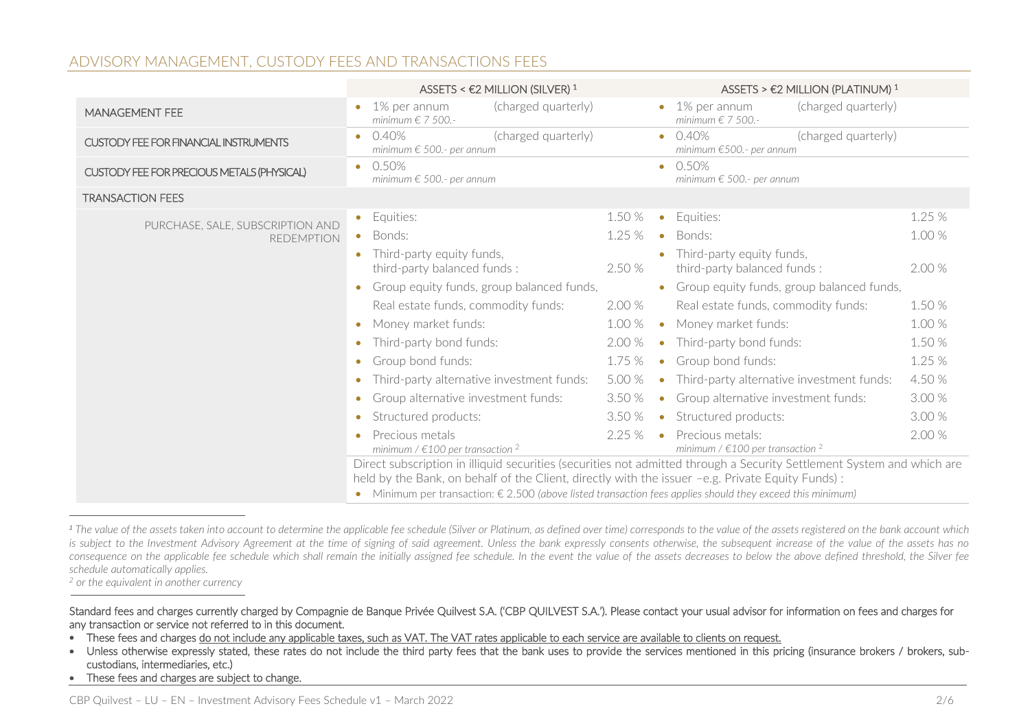## ADVISORY MANAGEMENT, CUSTODY FEES AND TRANSACTIONS FEES

|                                                       | ASSETS < $E2$ MILLION (SILVER) <sup>1</sup>                                                      | ASSETS > €2 MILLION (PLATINUM) <sup>1</sup>                                                                                                                                                                                                 |
|-------------------------------------------------------|--------------------------------------------------------------------------------------------------|---------------------------------------------------------------------------------------------------------------------------------------------------------------------------------------------------------------------------------------------|
| <b>MANAGEMENT FEE</b>                                 | (charged quarterly)<br>1% per annum<br>$\bullet$<br>minimum $\epsilon$ 7 500.-                   | (charged quarterly)<br>$\bullet$ 1% per annum<br>minimum $\epsilon$ 7 500.-                                                                                                                                                                 |
| <b>CUSTODY FEE FOR FINANCIAL INSTRUMENTS</b>          | 0.40%<br>(charged quarterly)<br>$\bullet$<br>minimum $\epsilon$ 500.- per annum                  | $\bullet$ 0.40%<br>(charged quarterly)<br>minimum $€500.-$ per annum                                                                                                                                                                        |
| CUSTODY FEE FOR PRECIOUS METALS (PHYSICAL)            | 0.50%<br>$\bullet$<br>minimum $\epsilon$ 500.- per annum                                         | $\bullet$ 0.50%<br>minimum $\epsilon$ 500.- per annum                                                                                                                                                                                       |
| <b>TRANSACTION FEES</b>                               |                                                                                                  |                                                                                                                                                                                                                                             |
| PURCHASE, SALE, SUBSCRIPTION AND<br><b>REDEMPTION</b> | Equities:<br>$\bullet$                                                                           | 1.25 %<br>1.50 %<br>Equities:<br>$\bullet$                                                                                                                                                                                                  |
|                                                       | Bonds:                                                                                           | 1.25 %<br>1.00 %<br>Bonds:<br>$\bullet$                                                                                                                                                                                                     |
|                                                       | Third-party equity funds,<br>third-party balanced funds:                                         | Third-party equity funds,<br>2.50 %<br>2.00 %<br>third-party balanced funds:                                                                                                                                                                |
|                                                       | Group equity funds, group balanced funds,                                                        | Group equity funds, group balanced funds,<br>$\bullet$                                                                                                                                                                                      |
|                                                       | Real estate funds, commodity funds:                                                              | 2.00 %<br>1.50 %<br>Real estate funds, commodity funds:                                                                                                                                                                                     |
|                                                       | Money market funds:                                                                              | 1.00 %<br>1.00 %<br>Money market funds:<br>$\bullet$                                                                                                                                                                                        |
|                                                       | Third-party bond funds:<br>$\bullet$                                                             | 2.00 %<br>1.50 %<br>Third-party bond funds:<br>$\bullet$                                                                                                                                                                                    |
|                                                       | Group bond funds:<br>$\bullet$                                                                   | 1.25 %<br>1.75 %<br>Group bond funds:<br>$\bullet$                                                                                                                                                                                          |
|                                                       | Third-party alternative investment funds:<br>$\bullet$                                           | 5.00 %<br>4.50 %<br>Third-party alternative investment funds:<br>$\bullet$                                                                                                                                                                  |
|                                                       | Group alternative investment funds:<br>$\bullet$                                                 | 3.00 %<br>3.50 %<br>Group alternative investment funds:<br>$\bullet$                                                                                                                                                                        |
|                                                       | Structured products:<br>$\bullet$                                                                | 3.50 %<br>3.00 %<br>Structured products:<br>$\bullet$                                                                                                                                                                                       |
|                                                       | Precious metals<br>minimum / $\in$ 100 per transaction <sup>2</sup>                              | 2.25%<br>Precious metals:<br>2.00 %<br>$\bullet$<br>minimum / $\in$ 100 per transaction <sup>2</sup>                                                                                                                                        |
|                                                       | held by the Bank, on behalf of the Client, directly with the issuer -e.g. Private Equity Funds): | Direct subscription in illiquid securities (securities not admitted through a Security Settlement System and which are<br>Minimum per transaction: $\epsilon$ 2.500 (above listed transaction fees applies should they exceed this minimum) |

*<sup>1</sup> The value of the assets taken into account to determine the applicable fee schedule (Silver or Platinum, as defined over time) corresponds to the value of the assets registered on the bank account which*  is subject to the Investment Advisory Agreement at the time of signing of said agreement. Unless the bank expressly consents otherwise, the subsequent increase of the value of the assets has no *consequence on the applicable fee schedule which shall remain the initially assigned fee schedule. In the event the value of the assets decreases to below the above defined threshold, the Silver fee schedule automatically applies.*

*<sup>2</sup> or the equivalent in another currency*

-

• These fees and charges are subject to change.

Standard fees and charges currently charged by Compagnie de Banque Privée Quilvest S.A. ('CBP QUILVEST S.A.'). Please contact your usual advisor for information on fees and charges for any transaction or service not referred to in this document.

These fees and charges do not include any applicable taxes, such as VAT. The VAT rates applicable to each service are available to clients on request.

<sup>•</sup> Unless otherwise expressly stated, these rates do not include the third party fees that the bank uses to provide the services mentioned in this pricing (insurance brokers / brokers, subcustodians, intermediaries, etc.)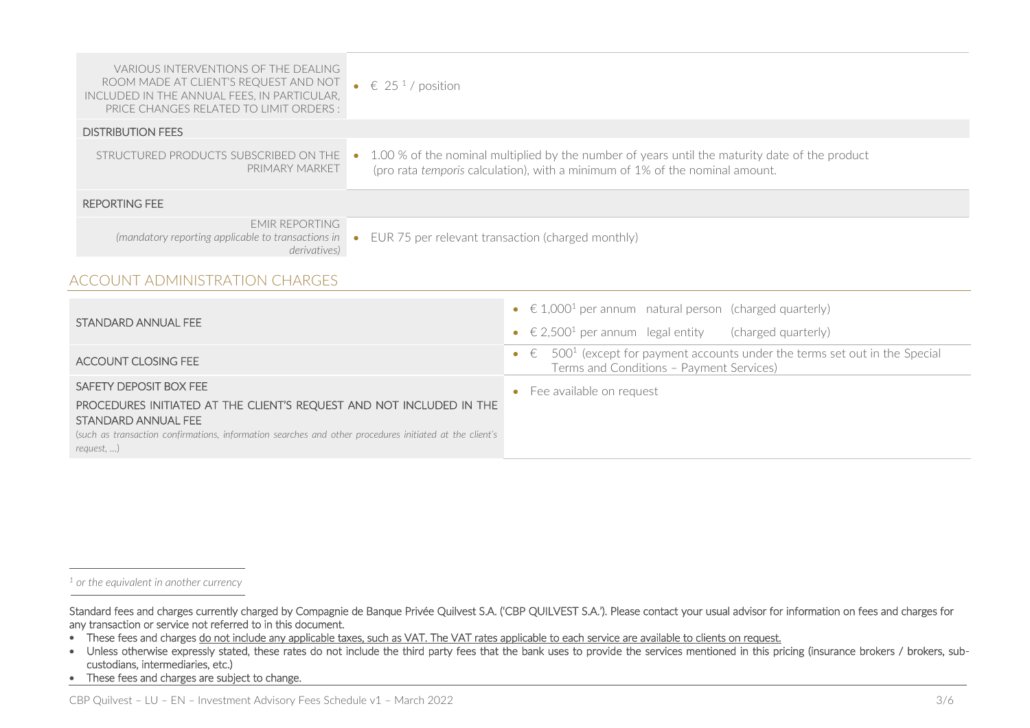| <b>VARIOUS INTERVENTIONS OF THE DEALING</b><br>ROOM MADE AT CLIENT'S REQUEST AND NOT<br>INCLUDED IN THE ANNUAL FEES. IN PARTICULAR.<br>PRICE CHANGES RELATED TO LIMIT ORDERS :                                                                         | $\bullet$<br>€ 25 <sup>1</sup> / position                                                                                                                                      |                                                                                                                                                               |
|--------------------------------------------------------------------------------------------------------------------------------------------------------------------------------------------------------------------------------------------------------|--------------------------------------------------------------------------------------------------------------------------------------------------------------------------------|---------------------------------------------------------------------------------------------------------------------------------------------------------------|
| <b>DISTRIBUTION FEES</b>                                                                                                                                                                                                                               |                                                                                                                                                                                |                                                                                                                                                               |
| STRUCTURED PRODUCTS SUBSCRIBED ON THE<br>PRIMARY MARKET                                                                                                                                                                                                | 1.00 % of the nominal multiplied by the number of years until the maturity date of the product<br>(pro rata temporis calculation), with a minimum of 1% of the nominal amount. |                                                                                                                                                               |
| <b>REPORTING FEE</b>                                                                                                                                                                                                                                   |                                                                                                                                                                                |                                                                                                                                                               |
| <b>FMIR REPORTING</b><br>(mandatory reporting applicable to transactions in<br>derivatives)                                                                                                                                                            | EUR 75 per relevant transaction (charged monthly)<br>$\bullet$                                                                                                                 |                                                                                                                                                               |
| <b>ACCOUNT ADMINISTRATION CHARGES</b>                                                                                                                                                                                                                  |                                                                                                                                                                                |                                                                                                                                                               |
| STANDARD ANNUAL FEE                                                                                                                                                                                                                                    |                                                                                                                                                                                | $\epsilon$ 1,000 <sup>1</sup> per annum natural person (charged quarterly)<br>$\bullet$<br>€ 2,500 <sup>1</sup> per annum legal entity<br>(charged quarterly) |
| <b>ACCOUNT CLOSING FEE</b>                                                                                                                                                                                                                             |                                                                                                                                                                                | 500 <sup>1</sup> (except for payment accounts under the terms set out in the Special<br>$\epsilon$<br>$\bullet$<br>Terms and Conditions - Payment Services)   |
| SAFETY DEPOSIT BOX FEE<br>PROCEDURES INITIATED AT THE CLIENT'S REQUEST AND NOT INCLUDED IN THE<br>STANDARD ANNUAL FEE<br>(such as transaction confirmations, information searches and other procedures initiated at the client's<br>$request, \ldots)$ |                                                                                                                                                                                | Fee available on request                                                                                                                                      |

*<sup>1</sup> or the equivalent in another currency*

-

• These fees and charges are subject to change.

Standard fees and charges currently charged by Compagnie de Banque Privée Quilvest S.A. ('CBP QUILVEST S.A.'). Please contact your usual advisor for information on fees and charges for any transaction or service not referred to in this document.

<sup>•</sup> These fees and charges do not include any applicable taxes, such as VAT. The VAT rates applicable to each service are available to clients on request.

<sup>•</sup> Unless otherwise expressly stated, these rates do not include the third party fees that the bank uses to provide the services mentioned in this pricing (insurance brokers / brokers, subcustodians, intermediaries, etc.)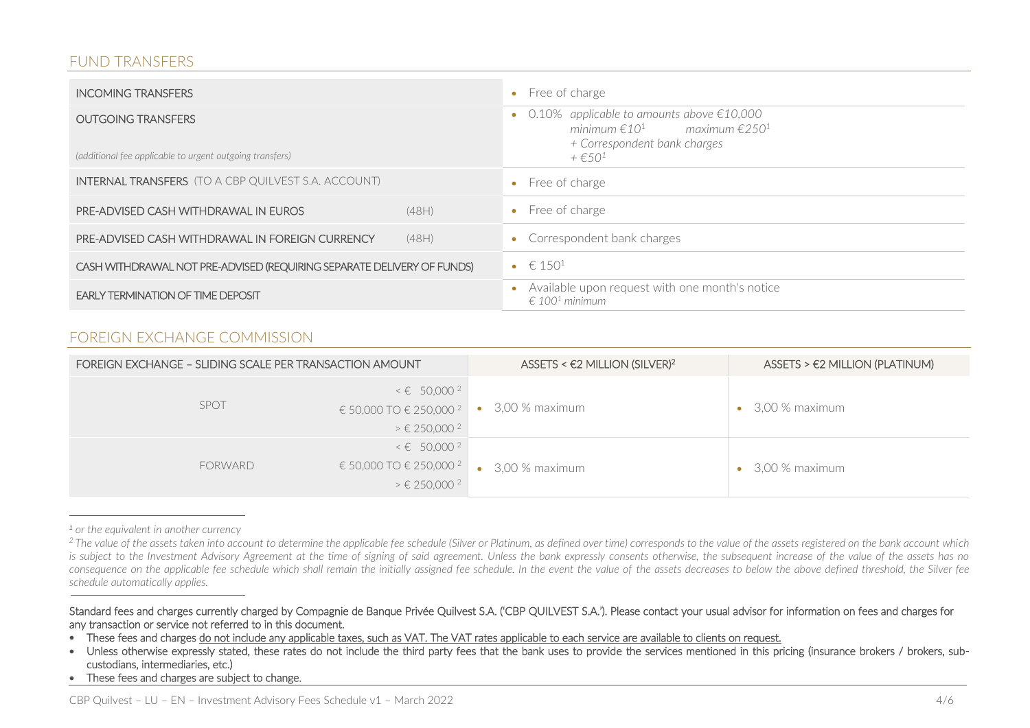#### FUND TRANSFERS

| <b>INCOMING TRANSFERS</b>                                                             |       | $\bullet$ Free of charge                                                                                                                                             |
|---------------------------------------------------------------------------------------|-------|----------------------------------------------------------------------------------------------------------------------------------------------------------------------|
| <b>OUTGOING TRANSFERS</b><br>(additional fee applicable to urgent outgoing transfers) |       | 0.10% applicable to amounts above $\epsilon$ 10,000<br>minimum $\epsilon 10^1$ maximum $\epsilon 250^1$<br>+ Correspondent bank charges<br>$+$ $\in$ 50 <sup>1</sup> |
| <b>INTERNAL TRANSFERS</b> (TO A CBP QUILVEST S.A. ACCOUNT)                            |       | Free of charge                                                                                                                                                       |
| <b>PRE-ADVISED CASH WITHDRAWAL IN EUROS</b>                                           | (48H) | • Free of charge                                                                                                                                                     |
| PRE-ADVISED CASH WITHDRAWAL IN FOREIGN CURRENCY                                       | (48H) | • Correspondent bank charges                                                                                                                                         |
| CASH WITHDRAWAL NOT PRE-ADVISED (REQUIRING SEPARATE DELIVERY OF FUNDS)                |       | • $\in 150^1$                                                                                                                                                        |
| <b>EARLY TERMINATION OF TIME DEPOSIT</b>                                              |       | Available upon request with one month's notice<br>$\epsilon$ 100 <sup>1</sup> minimum                                                                                |

## FOREIGN EXCHANGE COMMISSION

| FOREIGN EXCHANGE - SLIDING SCALE PER TRANSACTION AMOUNT |                                                                                                                   | ASSETS < $E2$ MILLION (SILVER) <sup>2</sup> | $ASSETS > E2$ MILLION (PLATINUM) |
|---------------------------------------------------------|-------------------------------------------------------------------------------------------------------------------|---------------------------------------------|----------------------------------|
| SPOT                                                    | $\leq \epsilon$ 50,000 <sup>2</sup><br>€ 50,000 TO € 250,000 <sup>2</sup><br>$> \epsilon$ 250,000 <sup>2</sup>    | 3,00 % maximum                              | 3,00 % maximum                   |
| <b>FORWARD</b>                                          | $\leq \epsilon$ 50,000 <sup>2</sup><br>€ 50,000 TO € 250,000 <sup>2</sup><br>$\geq \epsilon$ 250,000 <sup>2</sup> | $\bullet$ 3,00 % maximum                    | 3,00 % maximum                   |

*<sup>1</sup> or the equivalent in another currency*

-

• These fees and charges are subject to change.

<sup>&</sup>lt;sup>2</sup> The value of the assets taken into account to determine the applicable fee schedule (Silver or Platinum, as defined over time) corresponds to the value of the assets registered on the bank account which *is subject to the Investment Advisory Agreement at the time of signing of said agreement. Unless the bank expressly consents otherwise, the subsequent increase of the value of the assets has no*  consequence on the applicable fee schedule which shall remain the initially assigned fee schedule. In the event the value of the assets decreases to below the above defined threshold, the Silver fee *schedule automatically applies.*

Standard fees and charges currently charged by Compagnie de Banque Privée Quilvest S.A. ('CBP QUILVEST S.A.'). Please contact your usual advisor for information on fees and charges for any transaction or service not referred to in this document.

These fees and charges do not include any applicable taxes, such as VAT. The VAT rates applicable to each service are available to clients on request.

<sup>•</sup> Unless otherwise expressly stated, these rates do not include the third party fees that the bank uses to provide the services mentioned in this pricing (insurance brokers / brokers, subcustodians, intermediaries, etc.)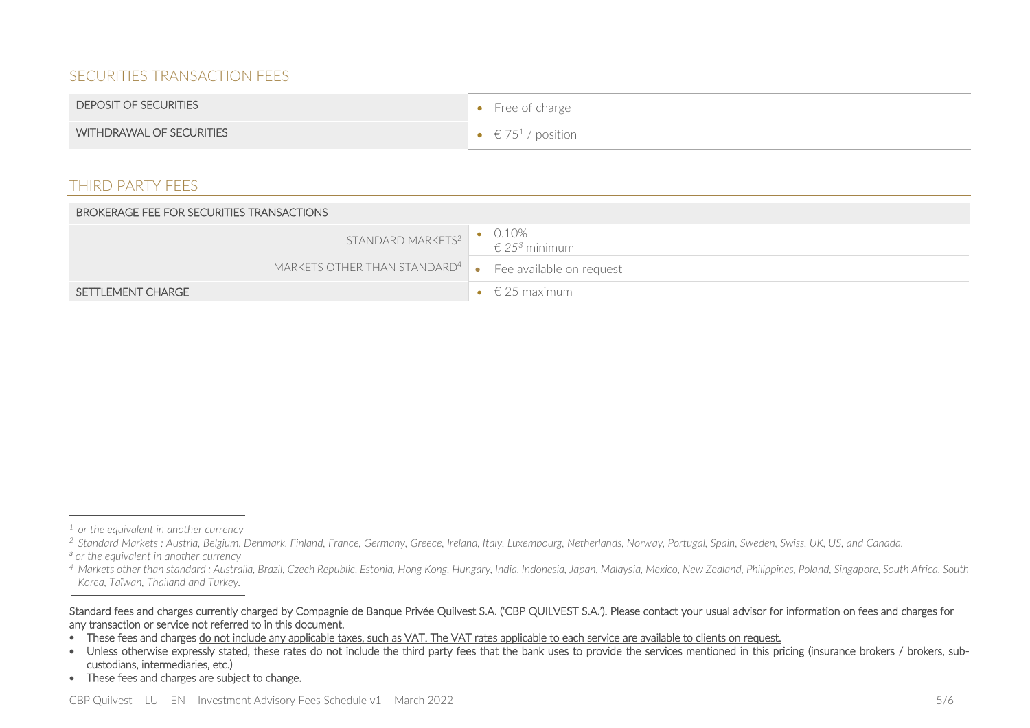# SECURITIES TRANSACTION FEES

| DEPOSIT OF SECURITIES           | $\bullet$ Free of charge |
|---------------------------------|--------------------------|
| <b>WITHDRAWAL OF SECURITIES</b> | • $\in 75^1$ / position  |

#### THIRD PARTY FEES

| <b>BROKERAGE FEE FOR SECURITIES TRANSACTIONS</b>                            |                                |
|-----------------------------------------------------------------------------|--------------------------------|
| STANDARD MARKETS <sup>2</sup> • 0.10%<br>$\epsilon$ 25 <sup>3</sup> minimum |                                |
| MARKETS OTHER THAN STANDARD <sup>4</sup> $\bullet$ Fee available on request |                                |
| SETTLEMENT CHARGE                                                           | $\bullet \quad \in 25$ maximum |

-

*<sup>1</sup> or the equivalent in another currency*

*<sup>2</sup> Standard Markets : Austria, Belgium, Denmark, Finland, France, Germany, Greece, Ireland, Italy, Luxembourg, Netherlands, Norway, Portugal, Spain, Sweden, Swiss, UK, US, and Canada. <sup>3</sup> or the equivalent in another currency*

*<sup>4</sup> Markets other than standard : Australia, Brazil, Czech Republic, Estonia, Hong Kong, Hungary, India, Indonesia, Japan, Malaysia, Mexico, New Zealand, Philippines, Poland, Singapore, South Africa, South Korea, Taïwan, Thailand and Turkey.*

Standard fees and charges currently charged by Compagnie de Banque Privée Quilvest S.A. ('CBP QUILVEST S.A.'). Please contact your usual advisor for information on fees and charges for any transaction or service not referred to in this document.

These fees and charges do not include any applicable taxes, such as VAT. The VAT rates applicable to each service are available to clients on request.

<sup>•</sup> Unless otherwise expressly stated, these rates do not include the third party fees that the bank uses to provide the services mentioned in this pricing (insurance brokers / brokers, subcustodians, intermediaries, etc.)

<sup>•</sup> These fees and charges are subject to change.